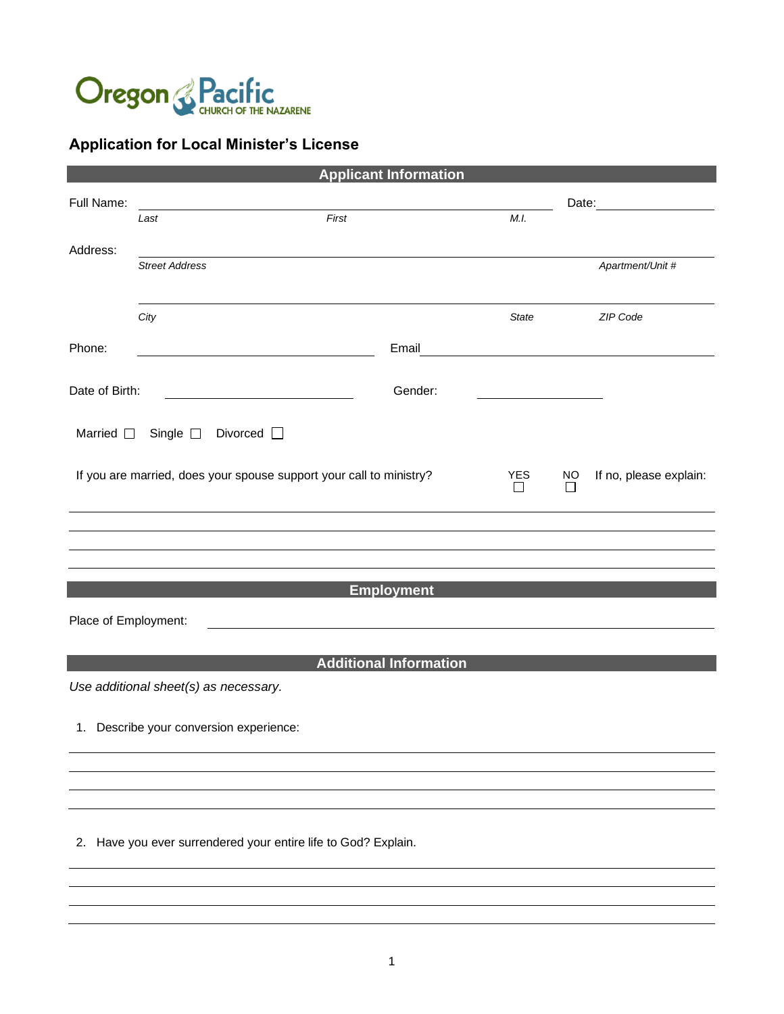

## **Application for Local Minister's License**

| <b>Applicant Information</b>                                                                             |                                                                                                                       |                               |       |                        |                                                                                                                                                                                                                                |
|----------------------------------------------------------------------------------------------------------|-----------------------------------------------------------------------------------------------------------------------|-------------------------------|-------|------------------------|--------------------------------------------------------------------------------------------------------------------------------------------------------------------------------------------------------------------------------|
| Full Name:                                                                                               |                                                                                                                       |                               |       |                        | Date: the contract of the contract of the contract of the contract of the contract of the contract of the contract of the contract of the contract of the contract of the contract of the contract of the contract of the cont |
|                                                                                                          | First<br>Last                                                                                                         |                               | M.I.  |                        |                                                                                                                                                                                                                                |
| Address:                                                                                                 | <b>Street Address</b>                                                                                                 |                               |       |                        |                                                                                                                                                                                                                                |
|                                                                                                          |                                                                                                                       |                               |       |                        | Apartment/Unit #                                                                                                                                                                                                               |
|                                                                                                          | City                                                                                                                  |                               | State |                        | ZIP Code                                                                                                                                                                                                                       |
|                                                                                                          |                                                                                                                       |                               |       |                        |                                                                                                                                                                                                                                |
| Phone:                                                                                                   | <u> 1980 - Johann Barbara, martin amerikan basar da</u>                                                               | Email                         |       |                        |                                                                                                                                                                                                                                |
| Date of Birth:                                                                                           | <u> 1989 - Johann Barn, amerikansk politiker (</u>                                                                    | Gender:                       |       |                        |                                                                                                                                                                                                                                |
|                                                                                                          | Married □ Single □ Divorced □                                                                                         |                               |       |                        |                                                                                                                                                                                                                                |
| If you are married, does your spouse support your call to ministry?<br><b>YES</b><br><b>NO</b><br>П<br>П |                                                                                                                       |                               |       | If no, please explain: |                                                                                                                                                                                                                                |
|                                                                                                          |                                                                                                                       |                               |       |                        |                                                                                                                                                                                                                                |
|                                                                                                          |                                                                                                                       |                               |       |                        |                                                                                                                                                                                                                                |
|                                                                                                          |                                                                                                                       | <b>Employment</b>             |       |                        |                                                                                                                                                                                                                                |
|                                                                                                          |                                                                                                                       |                               |       |                        |                                                                                                                                                                                                                                |
| Place of Employment:                                                                                     | <u>and the state of the state of the state of the state of the state of the state of the state of the state of th</u> |                               |       |                        |                                                                                                                                                                                                                                |
|                                                                                                          |                                                                                                                       | <b>Additional Information</b> |       |                        |                                                                                                                                                                                                                                |
|                                                                                                          | Use additional sheet(s) as necessary.                                                                                 |                               |       |                        |                                                                                                                                                                                                                                |
|                                                                                                          | 1. Describe your conversion experience:                                                                               |                               |       |                        |                                                                                                                                                                                                                                |
|                                                                                                          |                                                                                                                       |                               |       |                        |                                                                                                                                                                                                                                |
|                                                                                                          |                                                                                                                       |                               |       |                        |                                                                                                                                                                                                                                |
|                                                                                                          | 2. Have you ever surrendered your entire life to God? Explain.                                                        |                               |       |                        |                                                                                                                                                                                                                                |
|                                                                                                          |                                                                                                                       |                               |       |                        |                                                                                                                                                                                                                                |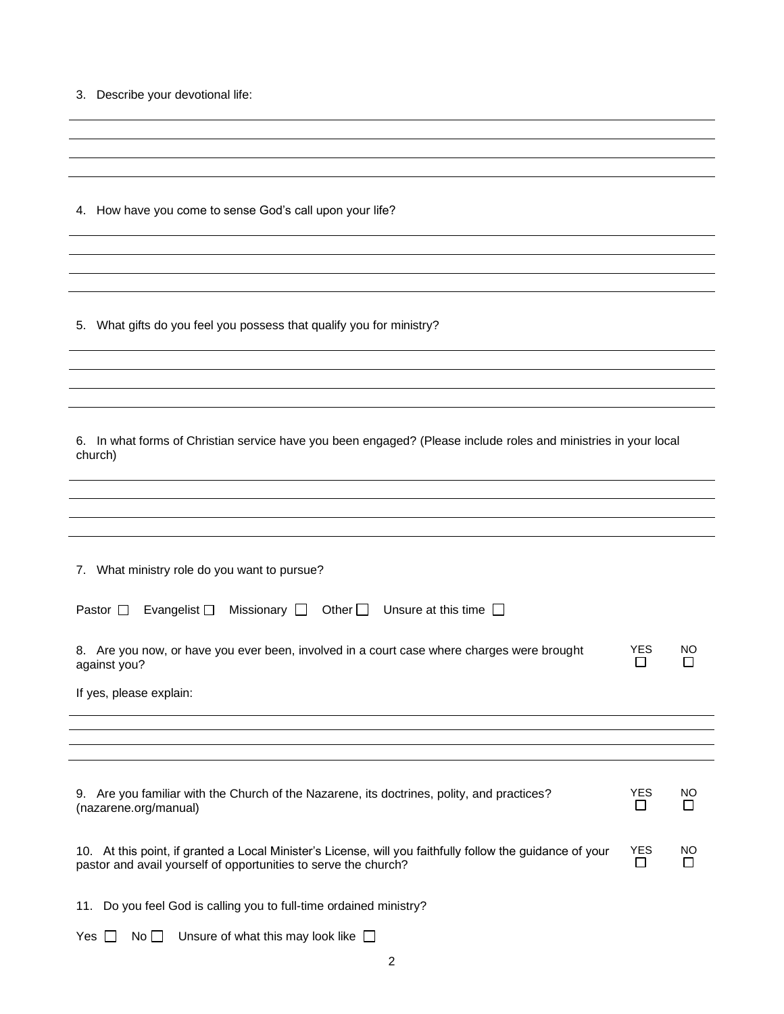|  |  | 3. Describe your devotional life: |  |
|--|--|-----------------------------------|--|
|--|--|-----------------------------------|--|

4. How have you come to sense God's call upon your life?

5. What gifts do you feel you possess that qualify you for ministry?

| 6. In what forms of Christian service have you been engaged? (Please include roles and ministries in your local |
|-----------------------------------------------------------------------------------------------------------------|
| church)                                                                                                         |

| 7. What ministry role do you want to pursue?                                                              |                 |         |
|-----------------------------------------------------------------------------------------------------------|-----------------|---------|
|                                                                                                           |                 |         |
| Other $\Box$ Unsure at this time $\Box$<br>Pastor $\Box$<br>Evangelist $\square$<br>Missionary $\square$  |                 |         |
| 8. Are you now, or have you ever been, involved in a court case where charges were brought                | <b>YES</b>      | NO      |
| against you?                                                                                              |                 |         |
| If yes, please explain:                                                                                   |                 |         |
|                                                                                                           |                 |         |
|                                                                                                           |                 |         |
|                                                                                                           |                 |         |
|                                                                                                           |                 |         |
| 9. Are you familiar with the Church of the Nazarene, its doctrines, polity, and practices?                | <b>YES</b><br>П | NO<br>П |
| (nazarene.org/manual)                                                                                     |                 |         |
| 10. At this point, if granted a Local Minister's License, will you faithfully follow the guidance of your | <b>YES</b>      | NO      |
| pastor and avail yourself of opportunities to serve the church?                                           | П               |         |
|                                                                                                           |                 |         |
| Do you feel God is calling you to full-time ordained ministry?<br>11.                                     |                 |         |
|                                                                                                           |                 |         |

|  | Yes $\Box$ No $\Box$ Unsure of what this may look like $\Box$ |  |
|--|---------------------------------------------------------------|--|
|--|---------------------------------------------------------------|--|